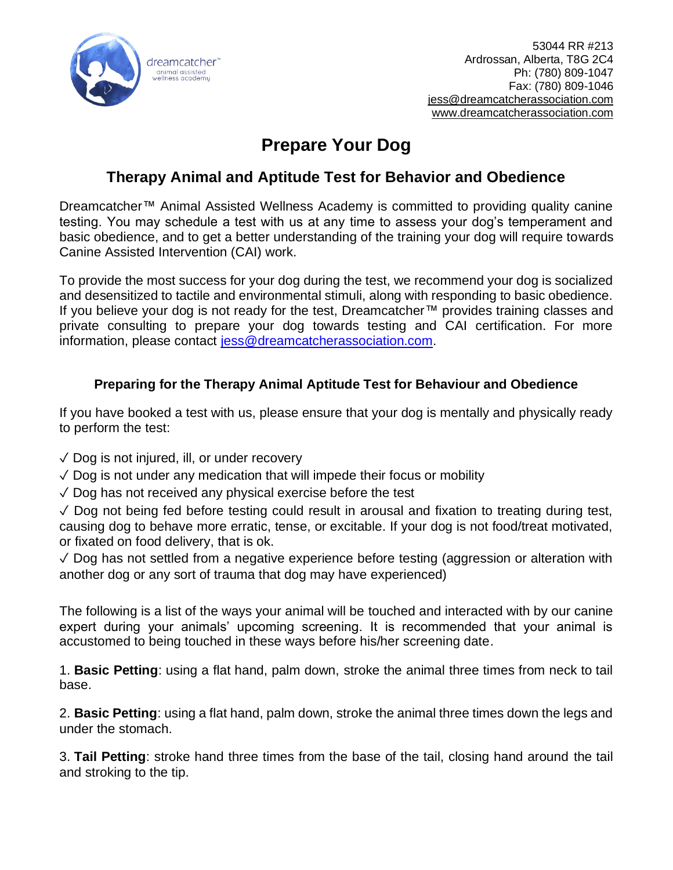

53044 RR #213 Ardrossan, Alberta, T8G 2C4 Ph: (780) 809-1047 Fax: (780) 809-1046 [jess@dreamcatcherassociation.com](mailto:jess@dreamcatcherassociation.com) [www.dreamcatcherassociation.com](http://www.dreamcatcherassociation.com/)

# **Prepare Your Dog**

# **Therapy Animal and Aptitude Test for Behavior and Obedience**

Dreamcatcher™ Animal Assisted Wellness Academy is committed to providing quality canine testing. You may schedule a test with us at any time to assess your dog's temperament and basic obedience, and to get a better understanding of the training your dog will require towards Canine Assisted Intervention (CAI) work.

To provide the most success for your dog during the test, we recommend your dog is socialized and desensitized to tactile and environmental stimuli, along with responding to basic obedience. If you believe your dog is not ready for the test, Dreamcatcher™ provides training classes and private consulting to prepare your dog towards testing and CAI certification. For more information, please contact [jess@dreamcatcherassociation.com.](mailto:jess@dreamcatcherassociation.com)

## **Preparing for the Therapy Animal Aptitude Test for Behaviour and Obedience**

If you have booked a test with us, please ensure that your dog is mentally and physically ready to perform the test:

- $\sqrt{\ }$  Dog is not injured, ill, or under recovery
- $\sqrt{2}$  Dog is not under any medication that will impede their focus or mobility
- $\sqrt{2}$  Dog has not received any physical exercise before the test

✓ Dog not being fed before testing could result in arousal and fixation to treating during test, causing dog to behave more erratic, tense, or excitable. If your dog is not food/treat motivated, or fixated on food delivery, that is ok.

 $\sqrt{2}$  Dog has not settled from a negative experience before testing (aggression or alteration with another dog or any sort of trauma that dog may have experienced)

The following is a list of the ways your animal will be touched and interacted with by our canine expert during your animals' upcoming screening. It is recommended that your animal is accustomed to being touched in these ways before his/her screening date.

1. **Basic Petting**: using a flat hand, palm down, stroke the animal three times from neck to tail base.

2. **Basic Petting**: using a flat hand, palm down, stroke the animal three times down the legs and under the stomach.

3. **Tail Petting**: stroke hand three times from the base of the tail, closing hand around the tail and stroking to the tip.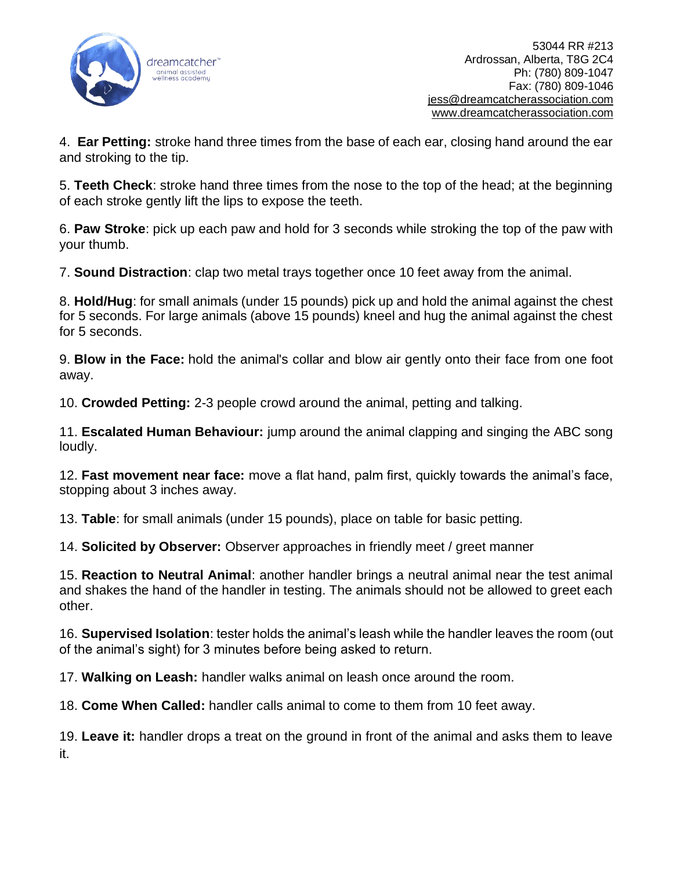

4. **Ear Petting:** stroke hand three times from the base of each ear, closing hand around the ear and stroking to the tip.

5. **Teeth Check**: stroke hand three times from the nose to the top of the head; at the beginning of each stroke gently lift the lips to expose the teeth.

6. **Paw Stroke**: pick up each paw and hold for 3 seconds while stroking the top of the paw with your thumb.

7. **Sound Distraction**: clap two metal trays together once 10 feet away from the animal.

8. **Hold/Hug**: for small animals (under 15 pounds) pick up and hold the animal against the chest for 5 seconds. For large animals (above 15 pounds) kneel and hug the animal against the chest for 5 seconds.

9. **Blow in the Face:** hold the animal's collar and blow air gently onto their face from one foot away.

10. **Crowded Petting:** 2-3 people crowd around the animal, petting and talking.

11. **Escalated Human Behaviour:** jump around the animal clapping and singing the ABC song loudly.

12. **Fast movement near face:** move a flat hand, palm first, quickly towards the animal's face, stopping about 3 inches away.

13. **Table**: for small animals (under 15 pounds), place on table for basic petting.

14. **Solicited by Observer:** Observer approaches in friendly meet / greet manner

15. **Reaction to Neutral Animal**: another handler brings a neutral animal near the test animal and shakes the hand of the handler in testing. The animals should not be allowed to greet each other.

16. **Supervised Isolation**: tester holds the animal's leash while the handler leaves the room (out of the animal's sight) for 3 minutes before being asked to return.

17. **Walking on Leash:** handler walks animal on leash once around the room.

18. **Come When Called:** handler calls animal to come to them from 10 feet away.

19. **Leave it:** handler drops a treat on the ground in front of the animal and asks them to leave it.